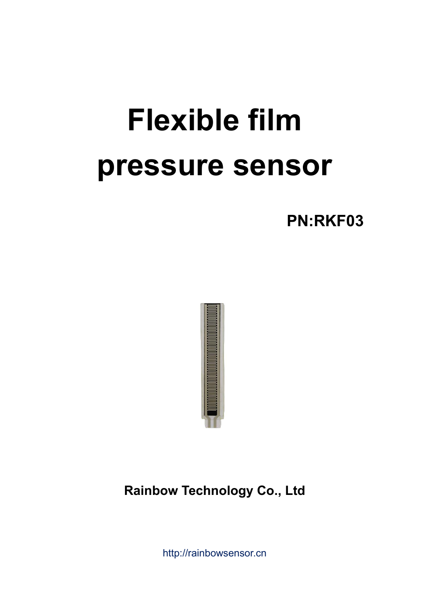# **Flexible film pressure sensor**

**PN:RKF03**



http://rainbowsensor.cn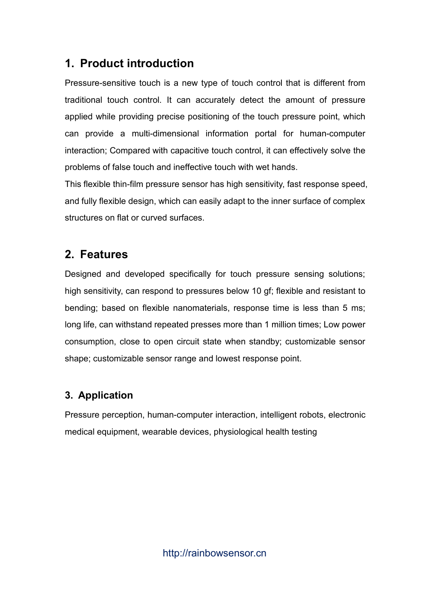### **1. Product introduction**

Pressure-sensitive touch is a new type of touch control that is different from traditional touch control. It can accurately detect the amount of pressure applied while providing precise positioning of the touch pressure point, which can provide a multi-dimensional information portal for human-computer interaction; Compared with capacitive touch control, it can effectively solve the problems of false touch and ineffective touch with wet hands.

This flexible thin-film pressure sensor has high sensitivity, fast response speed, and fully flexible design, which can easily adapt to the inner surface of complex structures on flat or curved surfaces.

#### **2. Features**

Designed and developed specifically for touch pressure sensing solutions; high sensitivity, can respond to pressures below 10 gf; flexible and resistant to bending; based on flexible nanomaterials, response time is less than 5 ms; long life, can withstand repeated presses more than 1 million times; Low power consumption, close to open circuit state when standby; customizable sensor shape; customizable sensor range and lowest response point.

#### **3. Application**

Pressure perception, human-computer interaction, intelligent robots, electronic medical equipment, wearable devices, physiological health testing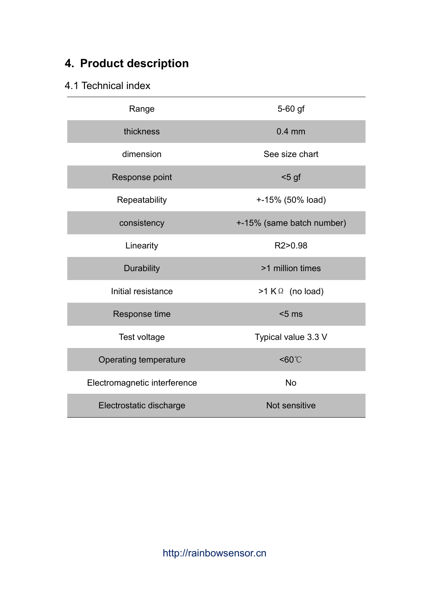## **4. Product description**

#### 4.1 Technical index

| Range                        | 5-60 gf                   |
|------------------------------|---------------------------|
| thickness                    | $0.4$ mm                  |
| dimension                    | See size chart            |
| Response point               | $5$ gf                    |
| Repeatability                | +-15% (50% load)          |
| consistency                  | +-15% (same batch number) |
| Linearity                    | R2>0.98                   |
| <b>Durability</b>            | >1 million times          |
| Initial resistance           | $>1$ K $\Omega$ (no load) |
| Response time                | $< 5$ ms                  |
| Test voltage                 | Typical value 3.3 V       |
| Operating temperature        | <60°C                     |
| Electromagnetic interference | <b>No</b>                 |
| Electrostatic discharge      | Not sensitive             |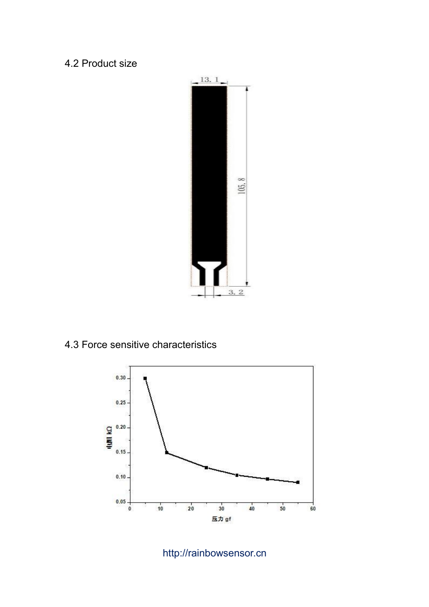#### 4.2 Product size



#### 4.3 Force sensitive characteristics



#### http://rainbowsensor.cn